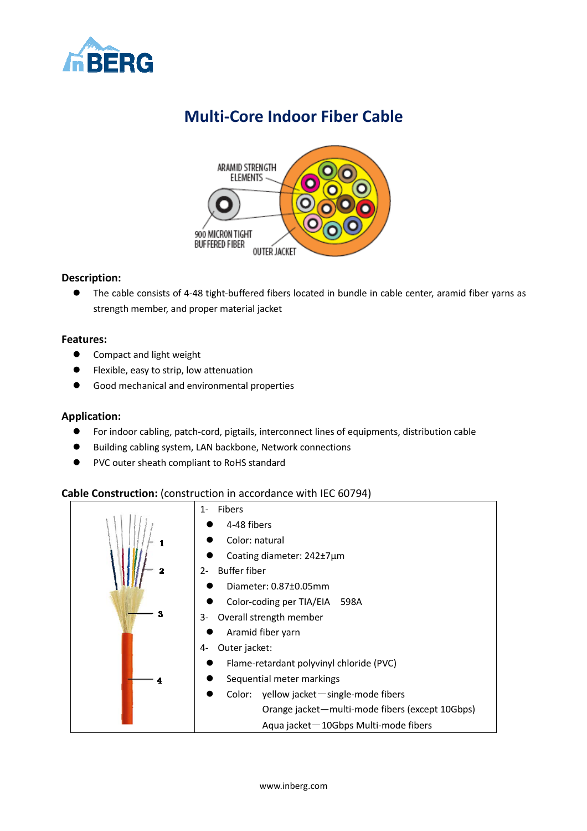

# **Multi-Core Indoor Fiber Cable**



### **Description:**

 The cable consists of 4-48 tight-buffered fibers located in bundle in cable center, aramid fiber yarns as strength member, and proper material jacket

### **Features:**

- **•** Compact and light weight
- **•** Flexible, easy to strip, low attenuation
- **Good mechanical and environmental properties**

#### **Application:**

- For indoor cabling, patch-cord, pigtails, interconnect lines of equipments, distribution cable
- Building cabling system, LAN backbone, Network connections
- PVC outer sheath compliant to RoHS standard

# **Cable Construction:** (construction in accordance with IEC 60794)